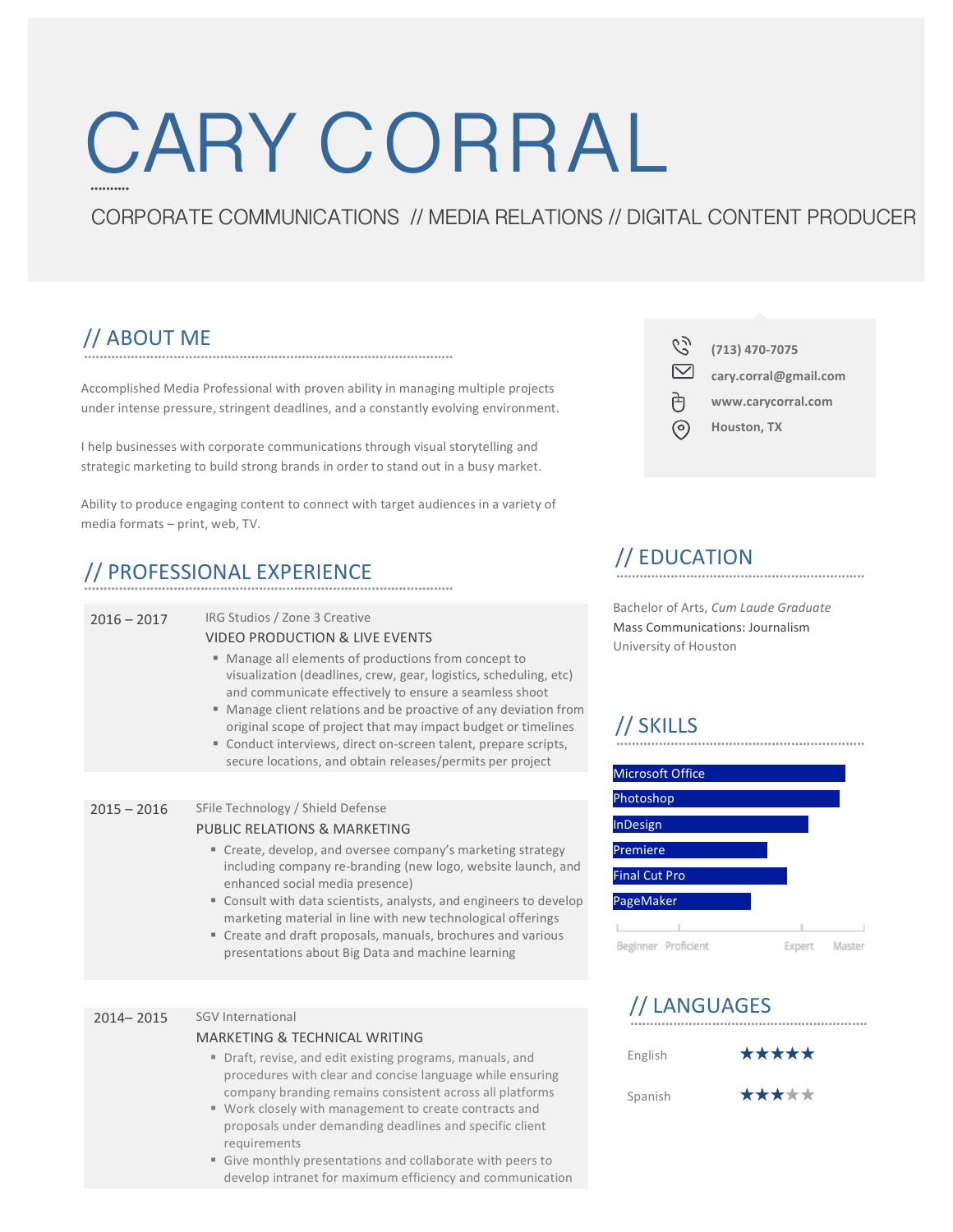# CARY CORRAL **..........**

### CORPORATE COMMUNICATIONS // MEDIA RELATIONS // DIGITAL CONTENT PRODUCER

#### **...............................................................................................** // ABOUT ME

Accomplished Media Professional with proven ability in managing multiple projects under intense pressure, stringent deadlines, and a constantly evolving environment.

I help businesses with corporate communications through visual storytelling and strategic marketing to build strong brands in order to stand out in a busy market.

Ability to produce engaging content to connect with target audiences in a variety of media formats - print, web, TV.

## **...............................................................................................** // PROFESSIONAL EXPERIENCE

| $2016 - 2017$ | IRG Studios / Zone 3 Creative<br><b>VIDEO PRODUCTION &amp; LIVE EVENTS</b><br>Manage all elements of productions from concept to<br>٠<br>visualization (deadlines, crew, gear, logistics, scheduling, etc)<br>and communicate effectively to ensure a seamless shoot<br>■ Manage client relations and be proactive of any deviation from<br>original scope of project that may impact budget or timelines<br>Conduct interviews, direct on-screen talent, prepare scripts,<br>secure locations, and obtain releases/permits per project |
|---------------|-----------------------------------------------------------------------------------------------------------------------------------------------------------------------------------------------------------------------------------------------------------------------------------------------------------------------------------------------------------------------------------------------------------------------------------------------------------------------------------------------------------------------------------------|
|               |                                                                                                                                                                                                                                                                                                                                                                                                                                                                                                                                         |
| $2015 - 2016$ | SFile Technology / Shield Defense<br>PUBLIC RELATIONS & MARKETING<br>" Create, develop, and oversee company's marketing strategy<br>including company re-branding (new logo, website launch, and<br>enhanced social media presence)<br>" Consult with data scientists, analysts, and engineers to develop<br>marketing material in line with new technological offerings<br>" Create and draft proposals, manuals, brochures and various<br>presentations about Big Data and machine learning                                           |
|               |                                                                                                                                                                                                                                                                                                                                                                                                                                                                                                                                         |
| $2014 - 2015$ | SGV International<br>MARKETING & TECHNICAL WRITING<br>Draft, revise, and edit existing programs, manuals, and<br>ш<br>procedures with clear and concise language while ensuring<br>company branding remains consistent across all platforms                                                                                                                                                                                                                                                                                             |

- Work closely with management to create contracts and proposals under demanding deadlines and specific client requirements
- Give monthly presentations and collaborate with peers to develop intranet for maximum efficiency and communication

CS. **(713) 470-7075**  $\overline{\vee}$ **cary.corral@gmail.com** 司 **www.carycorral.com Houston, TX** ര

#### **................................................................** // EDUCATION

Bachelor of Arts, *Cum Laude Graduate* Mass Communications: Journalism University of Houston

### // SKILLS



#### **.............................................................** // LANGUAGES